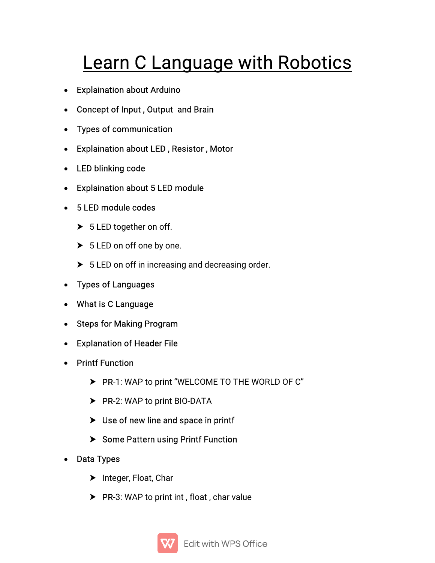# Learn C Language with Robotics

- Explaination about Arduino
- Concept of Input, Output and Brain
- Types of communication
- Explaination about LED, Resistor, Motor
- LED blinking code
- Explaination about 5 LED module
- 5 LED module codes
	- $\triangleright$  5 LED together on off.
	- ▶ 5 LED on off one by one.
	- $\triangleright$  5 LED on off in increasing and decreasing order.
- Types of Languages
- What is C Language
- Steps for Making Program
- Explanation of Header File
- Printf Function
	- PR-1: WAP to print "WELCOME TO THE WORLD OF C"
	- ▶ PR-2: WAP to print BIO-DATA
	- $\triangleright$  Use of new line and space in printf
	- Some Pattern using Printf Function
- Data Types
	- $\blacktriangleright$  Integer, Float, Char
	- $\triangleright$  PR-3: WAP to print int, float, char value

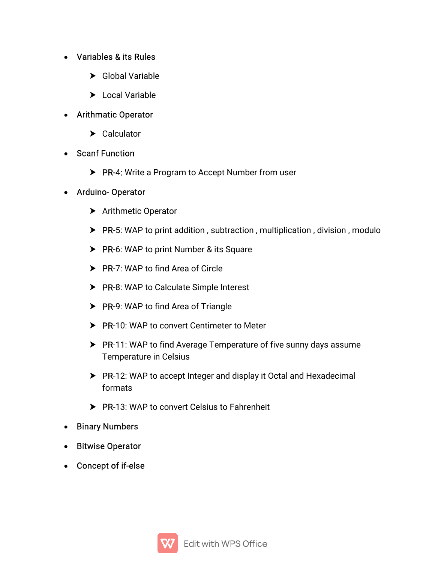## • Variables & its Rules

- ▶ Global Variable
- > Local Variable
- Arithmatic Operator
	- > Calculator
- Scanf Function
	- ▶ PR-4: Write a Program to Accept Number from user

#### Arduino-Operator

- > Arithmetic Operator
- $\triangleright$  PR-5: WAP to print addition, subtraction, multiplication, division, modulo
- $\triangleright$  PR-6: WAP to print Number & its Square
- $\triangleright$  PR-7: WAP to find Area of Circle
- $\triangleright$  PR-8: WAP to Calculate Simple Interest
- $\triangleright$  PR-9: WAP to find Area of Triangle
- ▶ PR-10: WAP to convert Centimeter to Meter
- $\triangleright$  PR-11: WAP to find Average Temperature of five sunny days assume Temperature in Celsius
- ▶ PR-12: WAP to accept Integer and display it Octal and Hexadecimal formats
- ▶ PR-13: WAP to convert Celsius to Fahrenheit
- Binary Numbers
- Bitwise Operator
- Concept of if-else

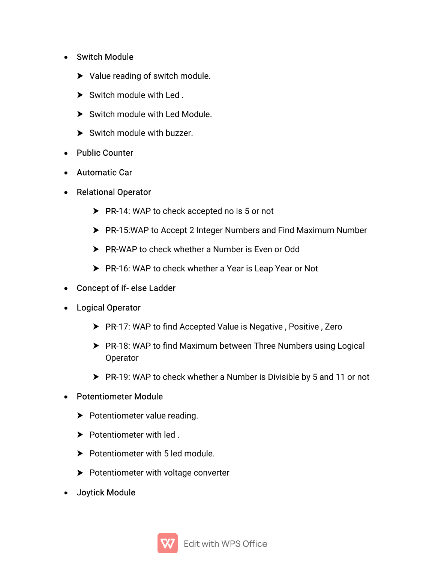- Switch Module
	- $\blacktriangleright$  Value reading of switch module.
	- $\triangleright$  Switch module with Led.
	- Switch module with Led Module.
	- $\triangleright$  Switch module with buzzer.
- Public Counter
- Automatic Car
- Relational Operator
	- $\triangleright$  PR-14: WAP to check accepted no is 5 or not
	- ▶ PR-15:WAP to Accept 2 Integer Numbers and Find Maximum Number
	- ▶ PR-WAP to check whether a Number is Even or Odd
	- ▶ PR-16: WAP to check whether a Year is Leap Year or Not
- Concept of if-else Ladder
- Logical Operator
	- ▶ PR-17: WAP to find Accepted Value is Negative, Positive, Zero
	- ▶ PR-18: WAP to find Maximum between Three Numbers using Logical Operator
	- ▶ PR-19: WAP to check whether a Number is Divisible by 5 and 11 or not
- Potentiometer Module
	- $\triangleright$  Potentiometer value reading.
	- $\blacktriangleright$  Potentiometer with led.
	- $\blacktriangleright$  Potentiometer with 5 led module.
	- $\blacktriangleright$  Potentiometer with voltage converter
- Joytick Module

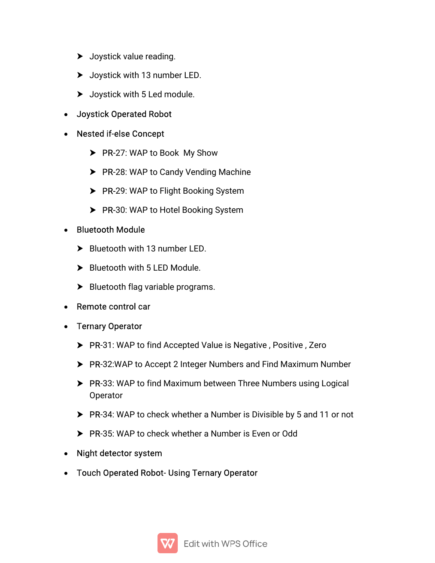- $\blacktriangleright$  Joystick value reading.
- $\blacktriangleright$  Joystick with 13 number LED.
- $\blacktriangleright$  Joystick with 5 Led module.
- Joystick Operated Robot
- Nested if-else Concept
	- $\triangleright$  PR-27: WAP to Book My Show
	- ▶ PR-28: WAP to Candy Vending Machine
	- $\triangleright$  PR-29: WAP to Flight Booking System
	- $\triangleright$  PR-30: WAP to Hotel Booking System

#### • Bluetooth Module

- Bluetooth with 13 number LED.
- Bluetooth with 5 LED Module.
- $\blacktriangleright$  Bluetooth flag variable programs.
- Remote control car
- Ternary Operator
	- ▶ PR-31: WAP to find Accepted Value is Negative, Positive, Zero
	- ▶ PR-32:WAP to Accept 2 Integer Numbers and Find Maximum Number
	- ▶ PR-33: WAP to find Maximum between Three Numbers using Logical **Operator**
	- ▶ PR-34: WAP to check whether a Number is Divisible by 5 and 11 or not
	- ▶ PR-35: WAP to check whether a Number is Even or Odd
- Night detector system
- Touch Operated Robot-Using Ternary Operator

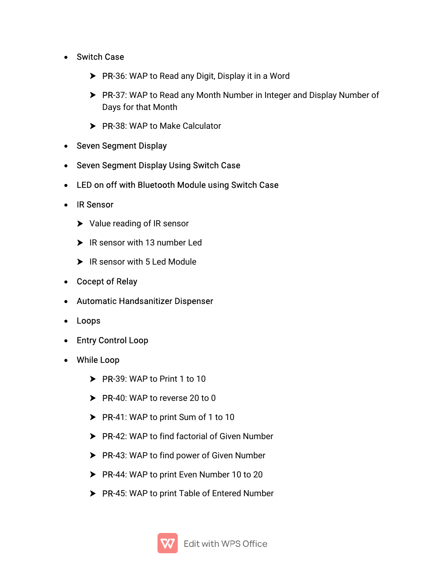- Switch Case
	- PR-36: WAP to Read any Digit, Display it in a Word
	- ▶ PR-37: WAP to Read any Month Number in Integer and Display Number of Days for that Month
	- PR-38: WAP to Make Calculator
- Seven Segment Display
- Seven Segment Display Using Switch Case
- LED on off with Bluetooth Module using Switch Case
- IR Sensor
	- $\blacktriangleright$  Value reading of IR sensor
	- $\blacktriangleright$  IR sensor with 13 number Led
	- ▶ IR sensor with 5 Led Module
- Cocept of Relay
- Automatic Handsanitizer Dispenser
- Loops
- Entry Control Loop
- While Loop
	- $\triangleright$  PR-39: WAP to Print 1 to 10
	- $\triangleright$  PR-40: WAP to reverse 20 to 0
	- $\triangleright$  PR-41: WAP to print Sum of 1 to 10
	- ▶ PR-42: WAP to find factorial of Given Number
	- $\triangleright$  PR-43: WAP to find power of Given Number
	- ▶ PR-44: WAP to print Even Number 10 to 20
	- PR-45: WAP to print Table of Entered Number

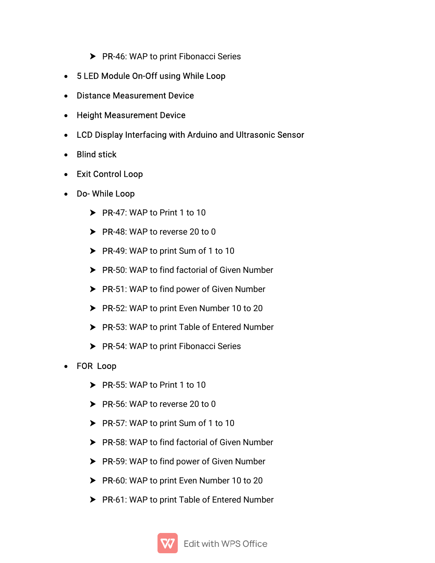- $\triangleright$  PR-46: WAP to print Fibonacci Series
- 5 LED Module On-Off using While Loop
- Distance Measurement Device
- Height Measurement Device
- LCD Display Interfacing with Arduino and Ultrasonic Sensor
- $\bullet$  Blind stick
- Exit Control Loop
- Do-While Loop
	- $\triangleright$  PR-47: WAP to Print 1 to 10
	- $\triangleright$  PR-48: WAP to reverse 20 to 0
	- $\triangleright$  PR-49: WAP to print Sum of 1 to 10
	- PR-50: WAP to find factorial of Given Number
	- $\triangleright$  PR-51: WAP to find power of Given Number
	- $\triangleright$  PR-52: WAP to print Even Number 10 to 20
	- ▶ PR-53: WAP to print Table of Entered Number
	- $\triangleright$  PR-54: WAP to print Fibonacci Series
- FOR Loop
	- $\triangleright$  PR-55: WAP to Print 1 to 10
	- $\triangleright$  PR-56: WAP to reverse 20 to 0
	- PR-57: WAP to print Sum of 1 to 10
	- PR-58: WAP to find factorial of Given Number
	- $\triangleright$  PR-59: WAP to find power of Given Number
	- ▶ PR-60: WAP to print Even Number 10 to 20
	- $\blacktriangleright$  PR-61: WAP to print Table of Entered Number

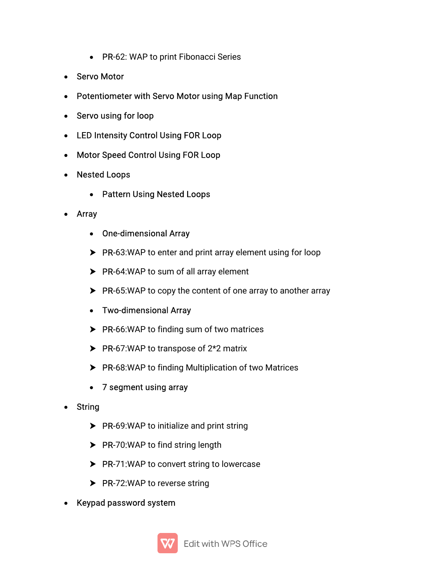- PR-62: WAP to print Fibonacci Series
- Servo Motor
- Potentiometer with Servo Motor using Map Function
- Servousing for loop
- LED Intensity Control Using FOR Loop
- Motor Speed Control Using FOR Loop
- **Nested Loops** 
	- Pattern Using Nested Loops
- Array
	- One-dimensional Array
	- $\triangleright$  PR-63:WAP to enter and print array element using for loop
	- $\triangleright$  PR-64:WAP to sum of all array element
	- $\triangleright$  PR-65:WAP to copy the content of one array to another array
	- Two-dimensional Array
	- $\triangleright$  PR-66:WAP to finding sum of two matrices
	- $\triangleright$  PR-67:WAP to transpose of 2\*2 matrix
	- $\triangleright$  PR-68:WAP to finding Multiplication of two Matrices
	- 7 segment using array
- String
	- $\triangleright$  PR-69:WAP to initialize and print string
	- $\triangleright$  PR-70:WAP to find string length
	- $\triangleright$  PR-71:WAP to convert string to lowercase
	- $\triangleright$  PR-72:WAP to reverse string
- Keypad password system

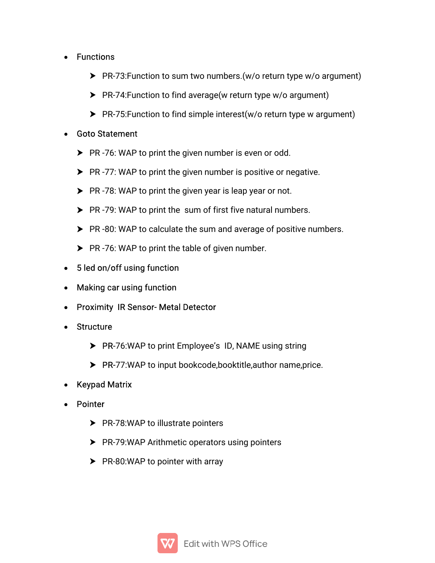#### • Functions

- ▶ PR-73: Function to sum two numbers. (w/o return type w/o argument)
- $\triangleright$  PR-74: Function to find average (w return type w/o argument)
- $\blacktriangleright$  PR-75: Function to find simple interest(w/o return type w argument)

## • Goto Statement

- $\triangleright$  PR-76: WAP to print the given number is even or odd.
- $\triangleright$  PR-77: WAP to print the given number is positive or negative.
- $\triangleright$  PR-78: WAP to print the given year is leap year or not.
- $\triangleright$  PR-79: WAP to print the sum of first five natural numbers.
- $\triangleright$  PR-80: WAP to calculate the sum and average of positive numbers.
- $\triangleright$  PR-76: WAP to print the table of given number.
- 5 led on/off using function
- Making car using function
- Proximity IR Sensor- Metal Detector
- Structure
	- ▶ PR-76:WAP to print Employee's ID, NAME using string
	- $\triangleright$  PR-77:WAP to input bookcode, book title, author name, price.
- Keypad Matrix
- Pointer
	- $\triangleright$  PR-78:WAP to illustrate pointers
	- $\triangleright$  PR-79:WAP Arithmetic operators using pointers
	- $\blacktriangleright$  PR-80:WAP to pointer with array